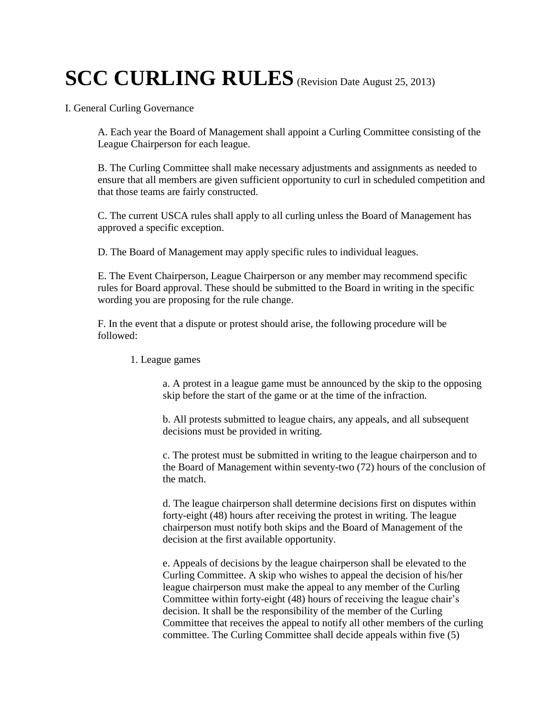# **SCC CURLING RULES** (Revision Date August 25, 2013)

I. General Curling Governance

A. Each year the Board of Management shall appoint a Curling Committee consisting of the League Chairperson for each league.

B. The Curling Committee shall make necessary adjustments and assignments as needed to ensure that all members are given sufficient opportunity to curl in scheduled competition and that those teams are fairly constructed.

C. The current USCA rules shall apply to all curling unless the Board of Management has approved a specific exception.

D. The Board of Management may apply specific rules to individual leagues.

E. The Event Chairperson, League Chairperson or any member may recommend specific rules for Board approval. These should be submitted to the Board in writing in the specific wording you are proposing for the rule change.

F. In the event that a dispute or protest should arise, the following procedure will be followed:

## 1. League games

a. A protest in a league game must be announced by the skip to the opposing skip before the start of the game or at the time of the infraction.

b. All protests submitted to league chairs, any appeals, and all subsequent decisions must be provided in writing.

c. The protest must be submitted in writing to the league chairperson and to the Board of Management within seventy-two (72) hours of the conclusion of the match.

d. The league chairperson shall determine decisions first on disputes within forty-eight (48) hours after receiving the protest in writing. The league chairperson must notify both skips and the Board of Management of the decision at the first available opportunity.

e. Appeals of decisions by the league chairperson shall be elevated to the Curling Committee. A skip who wishes to appeal the decision of his/her league chairperson must make the appeal to any member of the Curling Committee within forty-eight (48) hours of receiving the league chair's decision. It shall be the responsibility of the member of the Curling Committee that receives the appeal to notify all other members of the curling committee. The Curling Committee shall decide appeals within five (5)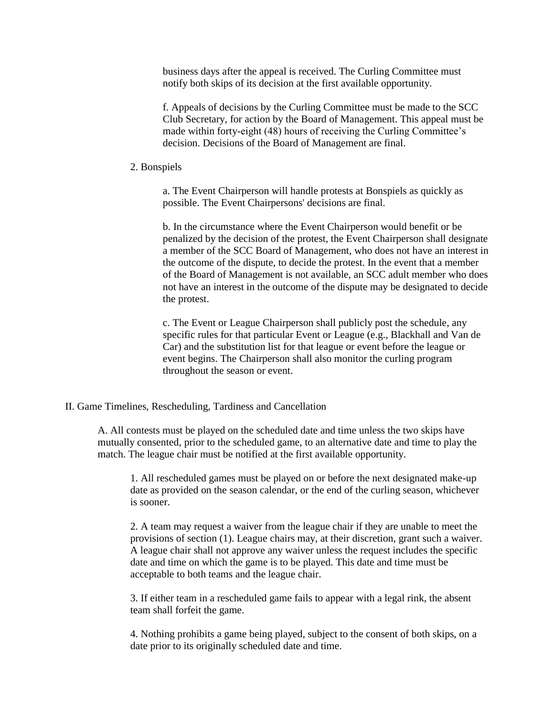business days after the appeal is received. The Curling Committee must notify both skips of its decision at the first available opportunity.

f. Appeals of decisions by the Curling Committee must be made to the SCC Club Secretary, for action by the Board of Management. This appeal must be made within forty-eight (48) hours of receiving the Curling Committee's decision. Decisions of the Board of Management are final.

#### 2. Bonspiels

a. The Event Chairperson will handle protests at Bonspiels as quickly as possible. The Event Chairpersons' decisions are final.

b. In the circumstance where the Event Chairperson would benefit or be penalized by the decision of the protest, the Event Chairperson shall designate a member of the SCC Board of Management, who does not have an interest in the outcome of the dispute, to decide the protest. In the event that a member of the Board of Management is not available, an SCC adult member who does not have an interest in the outcome of the dispute may be designated to decide the protest.

c. The Event or League Chairperson shall publicly post the schedule, any specific rules for that particular Event or League (e.g., Blackhall and Van de Car) and the substitution list for that league or event before the league or event begins. The Chairperson shall also monitor the curling program throughout the season or event.

#### II. Game Timelines, Rescheduling, Tardiness and Cancellation

A. All contests must be played on the scheduled date and time unless the two skips have mutually consented, prior to the scheduled game, to an alternative date and time to play the match. The league chair must be notified at the first available opportunity.

1. All rescheduled games must be played on or before the next designated make-up date as provided on the season calendar, or the end of the curling season, whichever is sooner.

2. A team may request a waiver from the league chair if they are unable to meet the provisions of section (1). League chairs may, at their discretion, grant such a waiver. A league chair shall not approve any waiver unless the request includes the specific date and time on which the game is to be played. This date and time must be acceptable to both teams and the league chair.

3. If either team in a rescheduled game fails to appear with a legal rink, the absent team shall forfeit the game.

4. Nothing prohibits a game being played, subject to the consent of both skips, on a date prior to its originally scheduled date and time.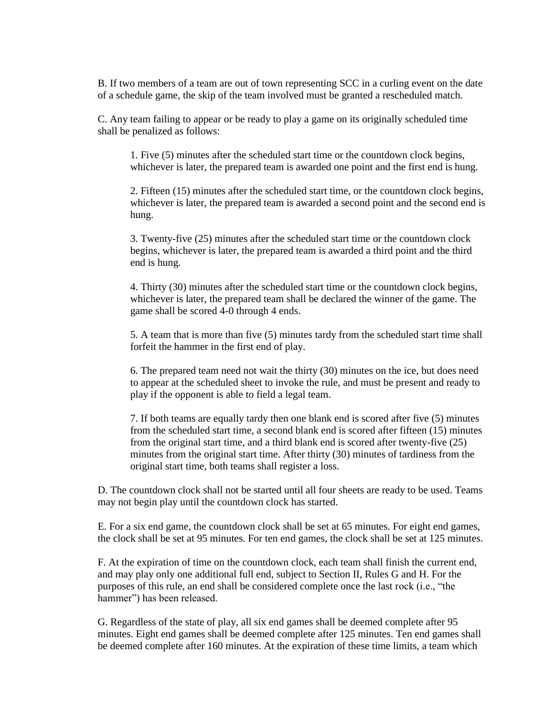B. If two members of a team are out of town representing SCC in a curling event on the date of a schedule game, the skip of the team involved must be granted a rescheduled match.

C. Any team failing to appear or be ready to play a game on its originally scheduled time shall be penalized as follows:

1. Five (5) minutes after the scheduled start time or the countdown clock begins, whichever is later, the prepared team is awarded one point and the first end is hung.

2. Fifteen (15) minutes after the scheduled start time, or the countdown clock begins, whichever is later, the prepared team is awarded a second point and the second end is hung.

3. Twenty-five (25) minutes after the scheduled start time or the countdown clock begins, whichever is later, the prepared team is awarded a third point and the third end is hung.

4. Thirty (30) minutes after the scheduled start time or the countdown clock begins, whichever is later, the prepared team shall be declared the winner of the game. The game shall be scored 4-0 through 4 ends.

5. A team that is more than five (5) minutes tardy from the scheduled start time shall forfeit the hammer in the first end of play.

6. The prepared team need not wait the thirty (30) minutes on the ice, but does need to appear at the scheduled sheet to invoke the rule, and must be present and ready to play if the opponent is able to field a legal team.

7. If both teams are equally tardy then one blank end is scored after five (5) minutes from the scheduled start time, a second blank end is scored after fifteen (15) minutes from the original start time, and a third blank end is scored after twenty-five (25) minutes from the original start time. After thirty (30) minutes of tardiness from the original start time, both teams shall register a loss.

D. The countdown clock shall not be started until all four sheets are ready to be used. Teams may not begin play until the countdown clock has started.

E. For a six end game, the countdown clock shall be set at 65 minutes. For eight end games, the clock shall be set at 95 minutes. For ten end games, the clock shall be set at 125 minutes.

F. At the expiration of time on the countdown clock, each team shall finish the current end, and may play only one additional full end, subject to Section II, Rules G and H. For the purposes of this rule, an end shall be considered complete once the last rock (i.e., "the hammer") has been released.

G. Regardless of the state of play, all six end games shall be deemed complete after 95 minutes. Eight end games shall be deemed complete after 125 minutes. Ten end games shall be deemed complete after 160 minutes. At the expiration of these time limits, a team which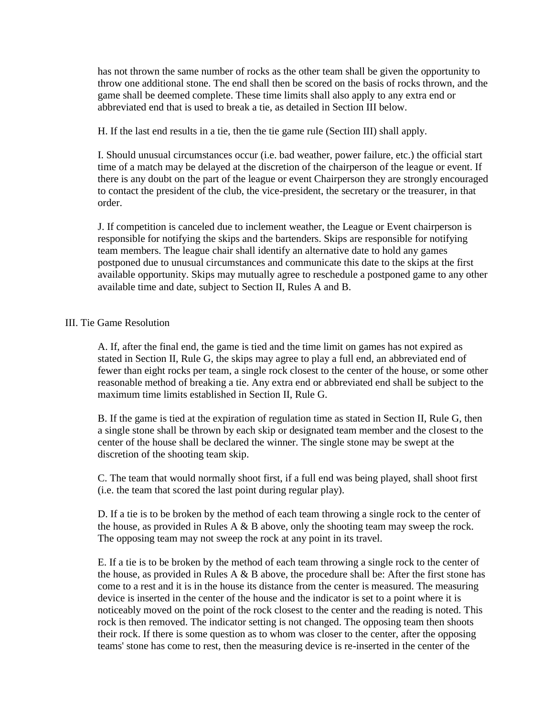has not thrown the same number of rocks as the other team shall be given the opportunity to throw one additional stone. The end shall then be scored on the basis of rocks thrown, and the game shall be deemed complete. These time limits shall also apply to any extra end or abbreviated end that is used to break a tie, as detailed in Section III below.

H. If the last end results in a tie, then the tie game rule (Section III) shall apply.

I. Should unusual circumstances occur (i.e. bad weather, power failure, etc.) the official start time of a match may be delayed at the discretion of the chairperson of the league or event. If there is any doubt on the part of the league or event Chairperson they are strongly encouraged to contact the president of the club, the vice-president, the secretary or the treasurer, in that order.

J. If competition is canceled due to inclement weather, the League or Event chairperson is responsible for notifying the skips and the bartenders. Skips are responsible for notifying team members. The league chair shall identify an alternative date to hold any games postponed due to unusual circumstances and communicate this date to the skips at the first available opportunity. Skips may mutually agree to reschedule a postponed game to any other available time and date, subject to Section II, Rules A and B.

## III. Tie Game Resolution

A. If, after the final end, the game is tied and the time limit on games has not expired as stated in Section II, Rule G, the skips may agree to play a full end, an abbreviated end of fewer than eight rocks per team, a single rock closest to the center of the house, or some other reasonable method of breaking a tie. Any extra end or abbreviated end shall be subject to the maximum time limits established in Section II, Rule G.

B. If the game is tied at the expiration of regulation time as stated in Section II, Rule G, then a single stone shall be thrown by each skip or designated team member and the closest to the center of the house shall be declared the winner. The single stone may be swept at the discretion of the shooting team skip.

C. The team that would normally shoot first, if a full end was being played, shall shoot first (i.e. the team that scored the last point during regular play).

D. If a tie is to be broken by the method of each team throwing a single rock to the center of the house, as provided in Rules A  $\&$  B above, only the shooting team may sweep the rock. The opposing team may not sweep the rock at any point in its travel.

E. If a tie is to be broken by the method of each team throwing a single rock to the center of the house, as provided in Rules A  $\&$  B above, the procedure shall be: After the first stone has come to a rest and it is in the house its distance from the center is measured. The measuring device is inserted in the center of the house and the indicator is set to a point where it is noticeably moved on the point of the rock closest to the center and the reading is noted. This rock is then removed. The indicator setting is not changed. The opposing team then shoots their rock. If there is some question as to whom was closer to the center, after the opposing teams' stone has come to rest, then the measuring device is re-inserted in the center of the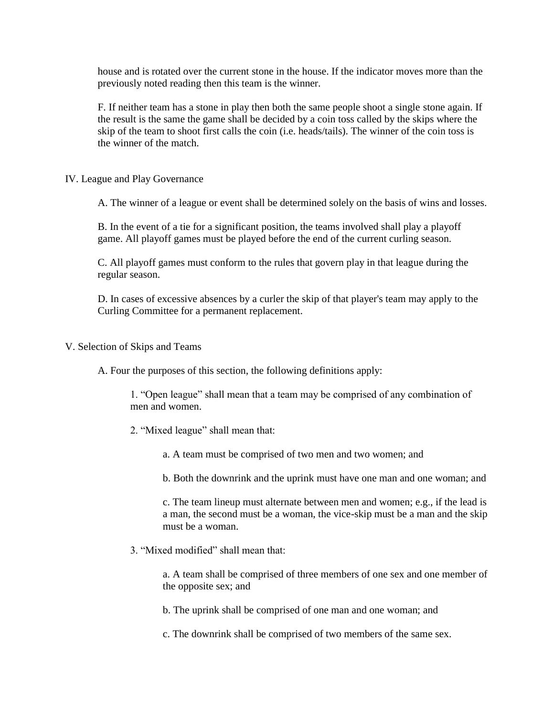house and is rotated over the current stone in the house. If the indicator moves more than the previously noted reading then this team is the winner.

F. If neither team has a stone in play then both the same people shoot a single stone again. If the result is the same the game shall be decided by a coin toss called by the skips where the skip of the team to shoot first calls the coin (i.e. heads/tails). The winner of the coin toss is the winner of the match.

IV. League and Play Governance

A. The winner of a league or event shall be determined solely on the basis of wins and losses.

B. In the event of a tie for a significant position, the teams involved shall play a playoff game. All playoff games must be played before the end of the current curling season.

C. All playoff games must conform to the rules that govern play in that league during the regular season.

D. In cases of excessive absences by a curler the skip of that player's team may apply to the Curling Committee for a permanent replacement.

V. Selection of Skips and Teams

A. Four the purposes of this section, the following definitions apply:

1. "Open league" shall mean that a team may be comprised of any combination of men and women.

- 2. "Mixed league" shall mean that:
	- a. A team must be comprised of two men and two women; and

b. Both the downrink and the uprink must have one man and one woman; and

c. The team lineup must alternate between men and women; e.g., if the lead is a man, the second must be a woman, the vice-skip must be a man and the skip must be a woman.

3. "Mixed modified" shall mean that:

a. A team shall be comprised of three members of one sex and one member of the opposite sex; and

b. The uprink shall be comprised of one man and one woman; and

c. The downrink shall be comprised of two members of the same sex.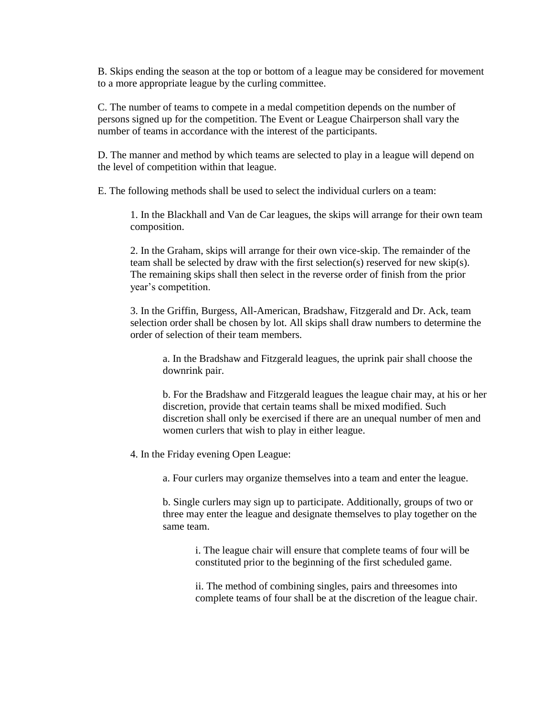B. Skips ending the season at the top or bottom of a league may be considered for movement to a more appropriate league by the curling committee.

C. The number of teams to compete in a medal competition depends on the number of persons signed up for the competition. The Event or League Chairperson shall vary the number of teams in accordance with the interest of the participants.

D. The manner and method by which teams are selected to play in a league will depend on the level of competition within that league.

E. The following methods shall be used to select the individual curlers on a team:

1. In the Blackhall and Van de Car leagues, the skips will arrange for their own team composition.

2. In the Graham, skips will arrange for their own vice-skip. The remainder of the team shall be selected by draw with the first selection(s) reserved for new skip(s). The remaining skips shall then select in the reverse order of finish from the prior year's competition.

3. In the Griffin, Burgess, All-American, Bradshaw, Fitzgerald and Dr. Ack, team selection order shall be chosen by lot. All skips shall draw numbers to determine the order of selection of their team members.

a. In the Bradshaw and Fitzgerald leagues, the uprink pair shall choose the downrink pair.

b. For the Bradshaw and Fitzgerald leagues the league chair may, at his or her discretion, provide that certain teams shall be mixed modified. Such discretion shall only be exercised if there are an unequal number of men and women curlers that wish to play in either league.

4. In the Friday evening Open League:

a. Four curlers may organize themselves into a team and enter the league.

b. Single curlers may sign up to participate. Additionally, groups of two or three may enter the league and designate themselves to play together on the same team.

> i. The league chair will ensure that complete teams of four will be constituted prior to the beginning of the first scheduled game.

ii. The method of combining singles, pairs and threesomes into complete teams of four shall be at the discretion of the league chair.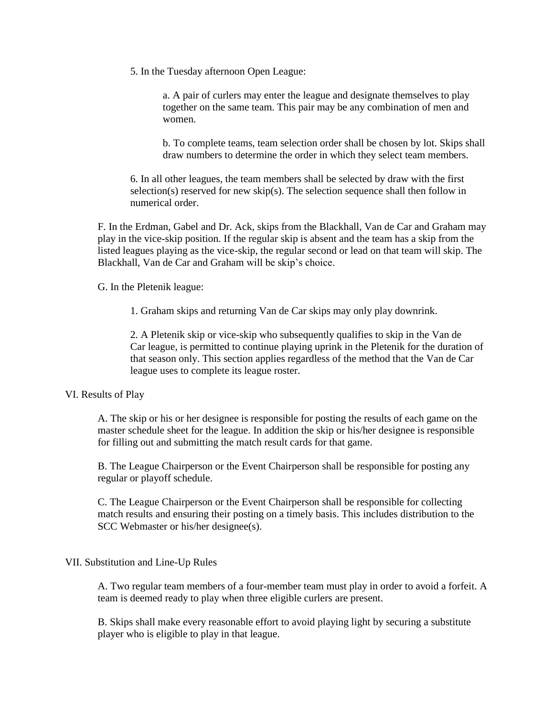5. In the Tuesday afternoon Open League:

a. A pair of curlers may enter the league and designate themselves to play together on the same team. This pair may be any combination of men and women.

b. To complete teams, team selection order shall be chosen by lot. Skips shall draw numbers to determine the order in which they select team members.

6. In all other leagues, the team members shall be selected by draw with the first selection(s) reserved for new skip(s). The selection sequence shall then follow in numerical order.

F. In the Erdman, Gabel and Dr. Ack, skips from the Blackhall, Van de Car and Graham may play in the vice-skip position. If the regular skip is absent and the team has a skip from the listed leagues playing as the vice-skip, the regular second or lead on that team will skip. The Blackhall, Van de Car and Graham will be skip's choice.

G. In the Pletenik league:

1. Graham skips and returning Van de Car skips may only play downrink.

2. A Pletenik skip or vice-skip who subsequently qualifies to skip in the Van de Car league, is permitted to continue playing uprink in the Pletenik for the duration of that season only. This section applies regardless of the method that the Van de Car league uses to complete its league roster.

### VI. Results of Play

A. The skip or his or her designee is responsible for posting the results of each game on the master schedule sheet for the league. In addition the skip or his/her designee is responsible for filling out and submitting the match result cards for that game.

B. The League Chairperson or the Event Chairperson shall be responsible for posting any regular or playoff schedule.

C. The League Chairperson or the Event Chairperson shall be responsible for collecting match results and ensuring their posting on a timely basis. This includes distribution to the SCC Webmaster or his/her designee(s).

## VII. Substitution and Line-Up Rules

A. Two regular team members of a four-member team must play in order to avoid a forfeit. A team is deemed ready to play when three eligible curlers are present.

B. Skips shall make every reasonable effort to avoid playing light by securing a substitute player who is eligible to play in that league.